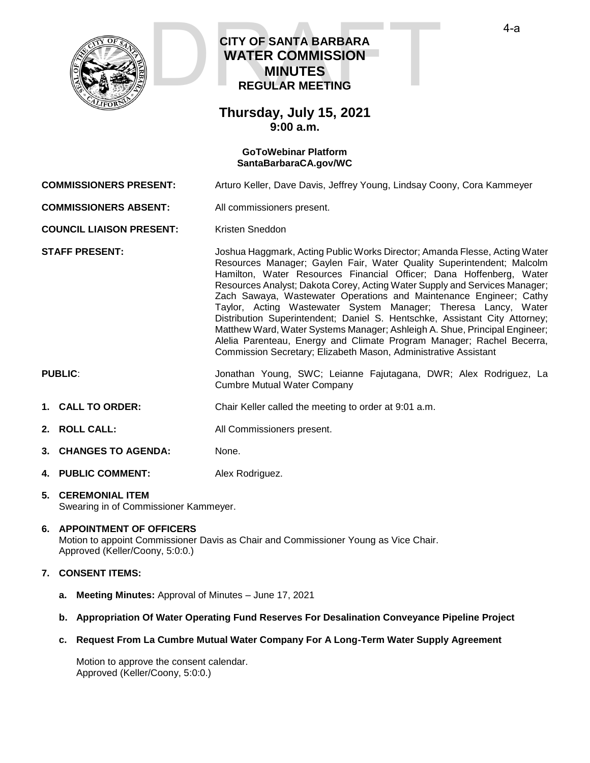

# **CITY OF SANTA BARBARA WATER COMMISSION MINUTES REGULAR MEETING CITY OF SANTA BARBARA**<br>
WATER COMMISSION<br>
MINUTES<br>
REGULAR MEETING

### **Thursday, July 15, 2021 9:00 a.m.**

#### **GoToWebinar Platform [SantaBarbaraCA.gov/WC](https://www.santabarbaraca.gov/gov/brdcomm/nz/water/agendas.asp)**

**COMMISSIONERS PRESENT:** Arturo Keller, Dave Davis, Jeffrey Young, Lindsay Coony, Cora Kammeyer

**COMMISSIONERS ABSENT:** All commissioners present.

**COUNCIL LIAISON PRESENT:** Kristen Sneddon

**STAFF PRESENT:** Joshua Haggmark, Acting Public Works Director; Amanda Flesse, Acting Water Resources Manager; Gaylen Fair, Water Quality Superintendent; Malcolm Hamilton, Water Resources Financial Officer; Dana Hoffenberg, Water Resources Analyst; Dakota Corey, Acting Water Supply and Services Manager; Zach Sawaya, Wastewater Operations and Maintenance Engineer; Cathy Taylor, Acting Wastewater System Manager; Theresa Lancy, Water Distribution Superintendent; Daniel S. Hentschke, Assistant City Attorney; Matthew Ward, Water Systems Manager; Ashleigh A. Shue, Principal Engineer; Alelia Parenteau, Energy and Climate Program Manager; Rachel Becerra, Commission Secretary; Elizabeth Mason, Administrative Assistant

- **PUBLIC**: Jonathan Young, SWC; Leianne Fajutagana, DWR; Alex Rodriguez, La Cumbre Mutual Water Company
- **1. CALL TO ORDER:** Chair Keller called the meeting to order at 9:01 a.m.
- **2. ROLL CALL:** All Commissioners present.
- **3. CHANGES TO AGENDA:** None.
- **4. PUBLIC COMMENT:** Alex Rodriguez.

#### **5. CEREMONIAL ITEM** Swearing in of Commissioner Kammeyer.

#### **6. APPOINTMENT OF OFFICERS**

Motion to appoint Commissioner Davis as Chair and Commissioner Young as Vice Chair. Approved (Keller/Coony, 5:0:0.)

### **7. CONSENT ITEMS:**

- **a. Meeting Minutes:** Approval of Minutes June 17, 2021
- **b. Appropriation Of Water Operating Fund Reserves For Desalination Conveyance Pipeline Project**
- **c. Request From La Cumbre Mutual Water Company For A Long-Term Water Supply Agreement**

Motion to approve the consent calendar. Approved (Keller/Coony, 5:0:0.)